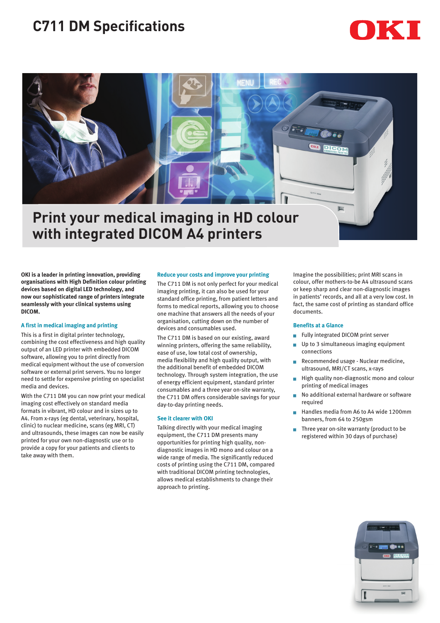# **C711 DM Specifications**





# **Print your medical imaging in HD colour with integrated DICOM A4 printers**

**OKI is a leader in printing innovation, providing organisations with High Definition colour printing devices based on digital LED technology, and now our sophisticated range of printers integrate seamlessly with your clinical systems using DICOM.**

## **A first in medical imaging and printing**

This is a first in digital printer technology, combining the cost effectiveness and high quality output of an LED printer with embedded DICOM software, allowing you to print directly from medical equipment without the use of conversion software or external print servers. You no longer need to settle for expensive printing on specialist media and devices.

With the C711 DM you can now print your medical imaging cost effectively on standard media formats in vibrant, HD colour and in sizes up to A4. From x-rays (eg dental, veterinary, hospital, clinic) to nuclear medicine, scans (eg MRI, CT) and ultrasounds, these images can now be easily printed for your own non-diagnostic use or to provide a copy for your patients and clients to take away with them.

## **Reduce your costs and improve your printing**

The C711 DM is not only perfect for your medical imaging printing, it can also be used for your standard office printing, from patient letters and forms to medical reports, allowing you to choose one machine that answers all the needs of your organisation, cutting down on the number of devices and consumables used.

The C711 DM is based on our existing, award winning printers, offering the same reliability, ease of use, low total cost of ownership, media flexibility and high quality output, with the additional benefit of embedded DICOM technology. Through system integration, the use of energy efficient equipment, standard printer consumables and a three year on-site warranty, the C711 DM offers considerable savings for your day-to-day printing needs.

## **See it clearer with OKI**

Talking directly with your medical imaging equipment, the C711 DM presents many opportunities for printing high quality, nondiagnostic images in HD mono and colour on a wide range of media. The significantly reduced costs of printing using the C711 DM, compared with traditional DICOM printing technologies, allows medical establishments to change their approach to printing.

Imagine the possibilities; print MRI scans in colour, offer mothers-to-be A4 ultrasound scans or keep sharp and clear non-diagnostic images in patients' records, and all at a very low cost. In fact, the same cost of printing as standard office documents.

#### **Benefits at a Glance**

- Fully integrated DICOM print server
- Up to 3 simultaneous imaging equipment connections
- Recommended usage Nuclear medicine, ultrasound, MRI/CT scans, x-rays
- High quality non-diagnostic mono and colour printing of medical images
- No additional external hardware or software required
- <sup>g</sup> Handles media from A6 to A4 wide 1200mm banners, from 64 to 250gsm
- Three year on-site warranty (product to be registered within 30 days of purchase)

![](_page_0_Picture_22.jpeg)